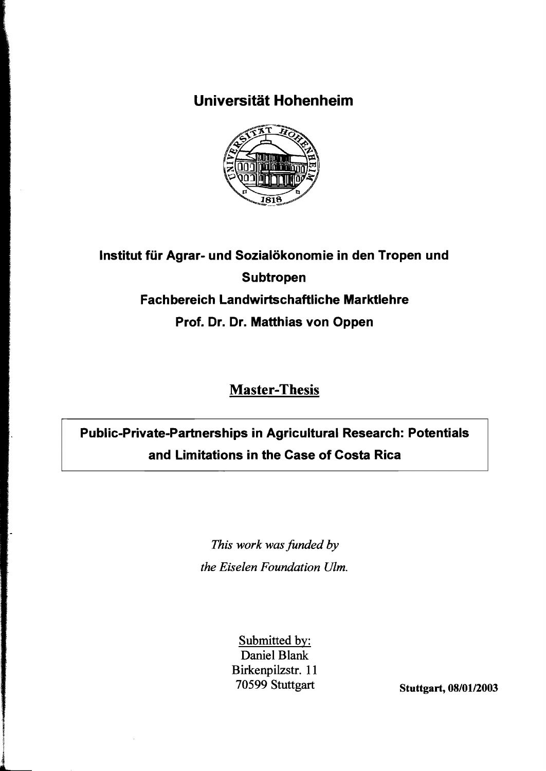## **Universität Hohenheim**



# **Institut für Agrar- und Sozialökonomie in den Tropen und Subtropen Fach bereich Landwirtschaftliche Marktlehre Prof. Dr. Dr. Matthias von Oppen**

## **Master-Thesis**

# **Public-Private-Partnerships in Agricultural Research: Potentials and Limitations in the Case of Costa Rica**

*This work was funded by the Eiselen Foundation Ulm.* 

> Submitted by: Daniel Blank Birkenpilzstr. 11 70599 Stuttgart Stuttgart, 08/01/2003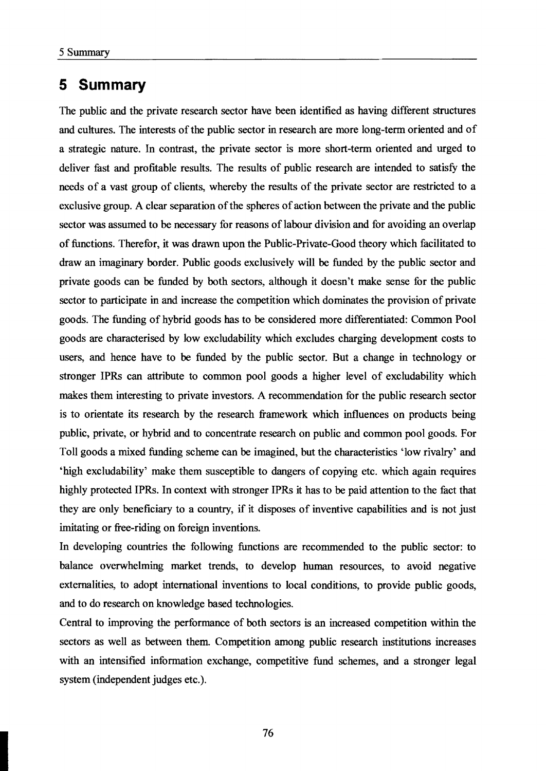The public and the private research sector have been identified as having different structures and cultures. The interests of the public sector in research are more long-term oriented and of a strategie nature. In contrast, the private sector is more short-tenn oriented and urged to deliver fast and profitable results. The results of public research are intended to satisfy the needs of a vast group of clients, whereby the results of the private sector are restricted to a exclusive group. A clear separation of the spheres of action between the private and the public sector was assumed to be necessary for reasons of labour division and for avoiding an overlap of functions. Therefor, it was drawn upon the Public-Private-Good theory which facilitated to drawan imaginary border. Public goods exclusively will be funded by the public sector and private goods can be funded by both sectors, although it doesn't make sense for the public sector to participate in and increase the competition which dominates the provision of private goods. The funding of hybrid goods has to be considered more differentiated: Common Pool goods are characterised by low excludability which excludes charging development costs to users, and hence have to be funded by the public sector. But a change in technology or stronger IPRs can attribute to common pool goods a higher level of excludability which makes them interesting to private investors. A recommendation for the public research sector is to orientate its research by the research framework which influences on products being public, private, or hybrid and to concentrate research on public and common pool goods. For Toll goods a mixed funding scheme can be imagined, but the characteristics 'low rivalry' and 'high excludability' make them susceptible to dangers of copying etc. which again requires highly protected IPRs. In context with stronger IPRs it has to be paid attention to the fact that they are only beneficiary to a country, if it disposes of inventive capabilities and is not just imitating or free-riding on foreign inventions.

In developing countries the following functions are recommended to the public sector: to balance overwhelming market trends, to develop human resources, to avoid negative extemalities, to adopt international inventions to local conditions, to provide public goods, and to do research on knowledge based technologies.

Central to improving the performance of both sectors is an increased competition within the sectors as well as between them. Competition among public research institutions increases with an intensified information exchange, competitive fund schemes, and a stronger legal system (independent judges etc.).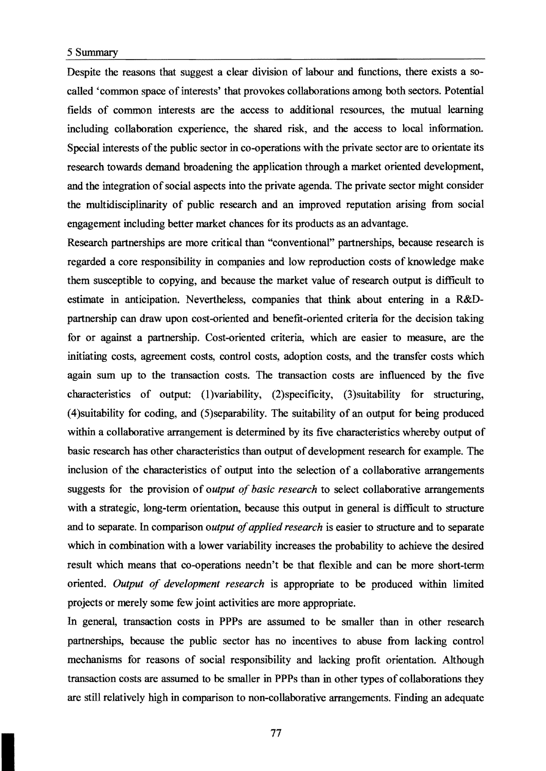Despite the reasons that suggest a clear division of labour and functions, there exists a socalled 'common space of interests' that provokes collaborations among both sectors. Potential fields of common interests are the access to additional resources, the mutual learning including collaboration experience, the shared risk, and the access to local information. Special interests of the public sector in co-operations with the private sector are to orientate its research towards demand broadening the application through a market oriented development, and the integration of social aspects into the private agenda. The private sector might consider the multidisciplinarity of public research and an improved reputation arising from social engagement including better market chances for its products as an advantage.

Research partnerships are more critical than "conventional" partnerships, because research is regarded a core responsibility in companies and low reproduction costs of knowledge make them susceptible to copying, and because the market value of research output is difficult to estimate in anticipation. Nevertheless, companies that think about entering in a R&Dpartnership can draw upon cost-oriented and benefit-oriented criteria for the decision taking for or against a partnership. Cost-oriented criteria, which are easier to measure, are the initiating costs, agreement costs, control costs, adoption costs, and the transfer costs which again sum up to the transaction costs. The transaction costs are influenced by the five characteristics of output: (1)variability, (2) specificity, (3) suitability for structuring, (4)suitability for coding, and (5)separability. The suitability of an output for being produced within a collaborative arrangement is determined by its five characteristics whereby output of basic research has other characteristics than output of development research for example. The inclusion of the characteristics of output into the selection of a collaborative arrangements suggests for the provision of *output 0/ basic research* to select collaborative arrangements with a strategic, long-term orientation, because this output in general is difficult to structure and to separate. In comparison *output of applied research* is easier to structure and to separate which in combination with a lower variability increases the probability to achieve the desired result which means that co-operations needn't be that flexible and can be more short-term oriented. *Output 0/ development research* is appropriate to be produced within limited projects or merely some few joint activities are more appropriate.

In general, transaction costs in PPPs are assumed to be smaller than in other research partnerships, because the public sector has no incentives to abuse from lacking control mechanisms for reasons of social responsibility and lacking profit orientation. Although transaction costs are assumed 10 be smaller in PPPs than in other types of collaborations they are still relatively high in comparison to non-collaborative arrangements. Finding an adequate

77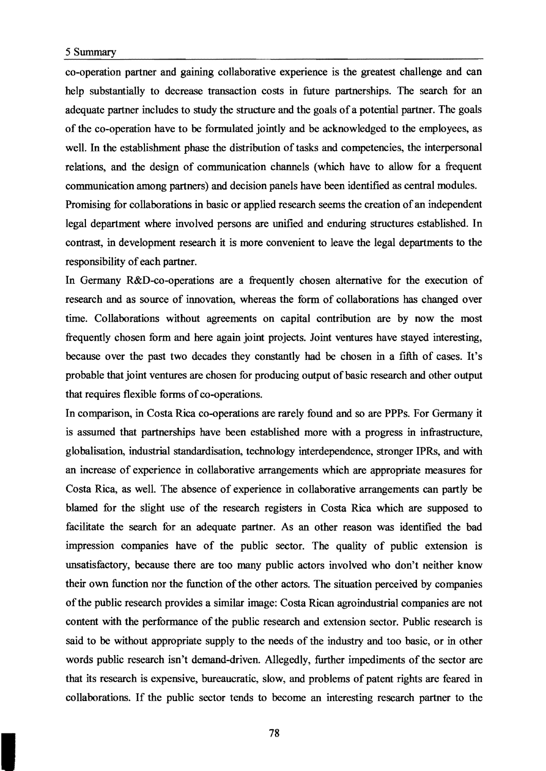co-operation partner and gaining collaborative experience is the greatest challenge and can help substantially to decrease transaction costs in future partnerships. The search for an adequate partner includes to study the structure and the goals of a potential partner. The goals of the co-operation have to be formulated jointly and be acknowledged to the employees, as well. In the establishment phase the distribution of tasks and competencies, the interpersonal relations, and the design of communication channels (which have to aIlow for a frequent communication among partners) and decision panels have been identified as central modules. Promising for collaborations in basic or applied research seems the creation of an independent legal department where involved persons are unified and enduring structures established. In contrast, in development research it is more convenient to leave the legal departments to the responsibility of each partner.

In Germany R&D-co-operations are a frequently chosen alternative for the execution of research and as source of innovation, whereas the form of collaborations has changed over time. Collaborations without agreements on capital contribution are by now the most frequently chosen form and here again joint projects. Joint ventures have stayed interesting, because over the past two decades they constantly had be chosen in a frfth of cases. It's probable that joint ventures are chosen for producing output of basic research and other output that requires flexible forms of co-operations.

In comparison, in Costa Rica co-operations are rarely found and so are PPPs. For Germany it is assumed that partnerships have been established more with a progress in infrastructure, globalisation, industrial standardisation, technology interdependence, stronger IPRs, and with an increase of experience in collaborative arrangements which are appropriate measures for Costa Rica, as weIl. The absence of experience in collaborative arrangements can partly be blamed for the slight use of the research registers in Costa Rica which are supposed to facilitate the search for an adequate partner. As an other reason was identified the bad impression companies have of the public sector. The quality of public extension is unsatisfactory, because there are too many public actors involved who don't neither know their own function nor the function of the other actors. The situation perceived by companies of the public research provides a similar image: Costa Rican agroindustrial companies are not content with the performance of the public research and extension sector. Public research is said to be without appropriate supply to the needs of the industry and too basic, or in other words public research isn't demand-driven. Allegedly, further impediments of the sector are that its research is expensive, bureaucratic, slow, and problems of patent rights are feared in collaborations. If the public sector tends to become an interesting research partner to the